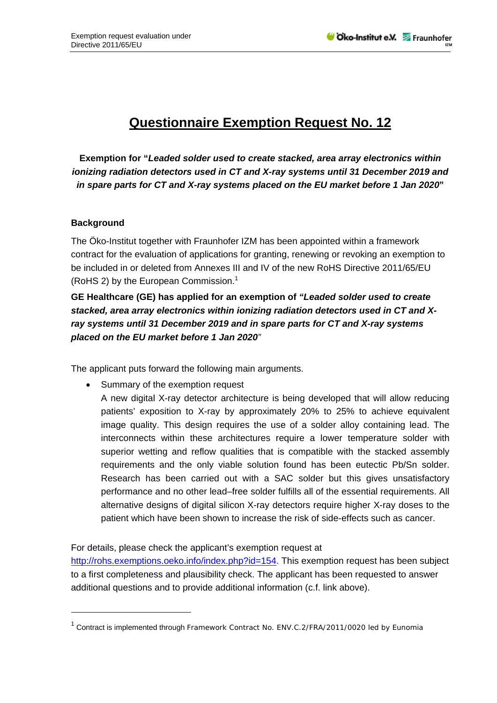## **Questionnaire Exemption Request No. 12**

**Exemption for "***Leaded solder used to create stacked, area array electronics within ionizing radiation detectors used in CT and X-ray systems until 31 December 2019 and in spare parts for CT and X-ray systems placed on the EU market before 1 Jan 2020***"** 

## **Background**

1

The Öko-Institut together with Fraunhofer IZM has been appointed within a framework contract for the evaluation of applications for granting, renewing or revoking an exemption to be included in or deleted from Annexes III and IV of the new RoHS Directive 2011/65/EU (RoHS 2) by the European Commission.<sup>1</sup>

**GE Healthcare (GE) has applied for an exemption of** *"Leaded solder used to create stacked, area array electronics within ionizing radiation detectors used in CT and Xray systems until 31 December 2019 and in spare parts for CT and X-ray systems placed on the EU market before 1 Jan 2020"* 

The applicant puts forward the following main arguments.

Summary of the exemption request

A new digital X-ray detector architecture is being developed that will allow reducing patients' exposition to X-ray by approximately 20% to 25% to achieve equivalent image quality. This design requires the use of a solder alloy containing lead. The interconnects within these architectures require a lower temperature solder with superior wetting and reflow qualities that is compatible with the stacked assembly requirements and the only viable solution found has been eutectic Pb/Sn solder. Research has been carried out with a SAC solder but this gives unsatisfactory performance and no other lead–free solder fulfills all of the essential requirements. All alternative designs of digital silicon X-ray detectors require higher X-ray doses to the patient which have been shown to increase the risk of side-effects such as cancer.

## For details, please check the applicant's exemption request at

http://rohs.exemptions.oeko.info/index.php?id=154. This exemption request has been subject to a first completeness and plausibility check. The applicant has been requested to answer additional questions and to provide additional information (c.f. link above).

<sup>&</sup>lt;sup>1</sup> Contract is implemented through Framework Contract No. ENV.C.2/FRA/2011/0020 led by Eunomia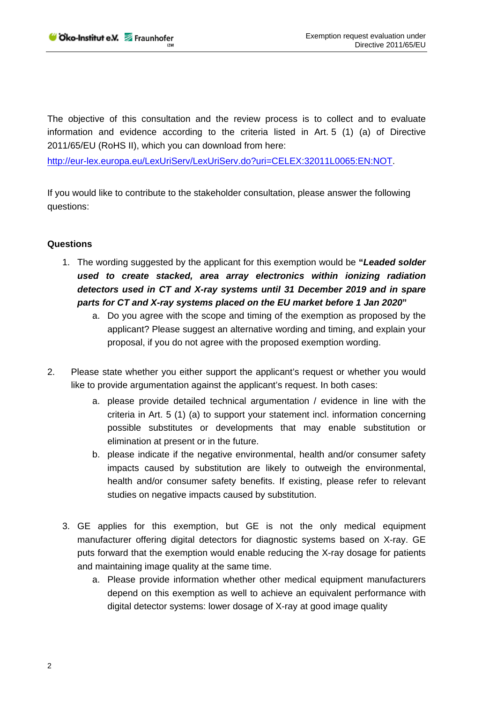The objective of this consultation and the review process is to collect and to evaluate information and evidence according to the criteria listed in Art. 5 (1) (a) of Directive 2011/65/EU (RoHS II), which you can download from here:

http://eur-lex.europa.eu/LexUriServ/LexUriServ.do?uri=CELEX:32011L0065:EN:NOT.

If you would like to contribute to the stakeholder consultation, please answer the following questions:

## **Questions**

- 1. The wording suggested by the applicant for this exemption would be **"***Leaded solder used to create stacked, area array electronics within ionizing radiation detectors used in CT and X-ray systems until 31 December 2019 and in spare parts for CT and X-ray systems placed on the EU market before 1 Jan 2020***"** 
	- a. Do you agree with the scope and timing of the exemption as proposed by the applicant? Please suggest an alternative wording and timing, and explain your proposal, if you do not agree with the proposed exemption wording.
- 2. Please state whether you either support the applicant's request or whether you would like to provide argumentation against the applicant's request. In both cases:
	- a. please provide detailed technical argumentation / evidence in line with the criteria in Art. 5 (1) (a) to support your statement incl. information concerning possible substitutes or developments that may enable substitution or elimination at present or in the future.
	- b. please indicate if the negative environmental, health and/or consumer safety impacts caused by substitution are likely to outweigh the environmental, health and/or consumer safety benefits. If existing, please refer to relevant studies on negative impacts caused by substitution.
	- 3. GE applies for this exemption, but GE is not the only medical equipment manufacturer offering digital detectors for diagnostic systems based on X-ray. GE puts forward that the exemption would enable reducing the X-ray dosage for patients and maintaining image quality at the same time.
		- a. Please provide information whether other medical equipment manufacturers depend on this exemption as well to achieve an equivalent performance with digital detector systems: lower dosage of X-ray at good image quality